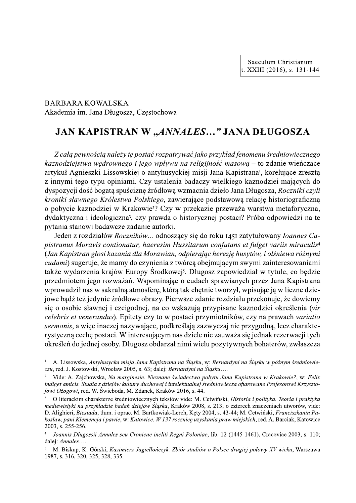**BARBARA KOWALSKA** Akademia im. Jana Długosza, Częstochowa

## JAN KAPISTRAN W "ANNALES..." JANA DŁUGOSZA

Z całą pewnością należy tę postać rozpatrywać jako przykład fenomenu średniowiecznego kaznodziejstwa wędrownego i jego wpływu na religijność masową – to zdanie wieńczące artykuł Agnieszki Lissowskiej o antyhusyckiej misji Jana Kapistrana<sup>r</sup>, korelujące zresztą z innymi tego typu opiniami. Czy ustalenia badaczy wielkiego kaznodziei mających do dyspozycji dość bogatą spuściznę źródłową wzmacnia dzieło Jana Długosza, Roczniki czyli kroniki sławnego Królestwa Polskiego, zawierające podstawową relację historiograficzna o pobycie kaznodziej w Krakowie<sup>2</sup>? Czy w przekazie przeważa warstwa metaforyczna, dydaktyczna i ideologiczna<sup>3</sup>, czy prawda o historycznej postaci? Próba odpowiedzi na te pytania stanowi badawcze zadanie autorki.

Jeden z rozdziałów Roczników... odnoszący się do roku 1451 zatytułowany *Ioannes Ca*pistranus Moravis contionatur, haeresim Hussitarum confutans et fulget variis miraculis<sup>4</sup> (Jan Kapistran głosi kazania dla Morawian, odpierając herezję husytów, i olśniewa różnymi *cudami*) sugeruje, że mamy do czynienia z twórcą obejmującym swymi zainteresowaniami także wydarzenia krajów Europy Środkowej<sup>5</sup>. Długosz zapowiedział w tytule, co bedzie przedmiotem jego rozważań. Wspominając o cudach sprawianych przez Jana Kapistrana wprowadził nas w sakralną atmosferę, którą tak chętnie tworzył, wpisując ją w liczne dziejowe bądź też jedynie źródłowe obrazy. Pierwsze zdanie rozdziału przekonuje, że dowiemy się o osobie sławnej i czcigodnej, na co wskazują przypisane kaznodziej określenia (vir celebris et venerandus). Epitety czy to w postaci przymiotników, czy na prawach variatio sermonis, a więc inaczej nazywające, podkreślają zazwyczaj nie przygodną, lecz charakterystyczną cechę postaci. W interesującym nas dziele nie zauważa się jednak rezerwacji tych określeń do jednej osoby. Długosz obdarzał nimi wielu pozytywnych bohaterów, zwłaszcza

A. Lissowska, Antyhusycka misja Jana Kapistrana na Śląsku, w: Bernardyni na Śląsku w późnym średniowieczu, red. J. Kostowski, Wrocław 2005, s. 63; dalej: Bernardyni na Śląsku....

Vide: A. Zajchowska, Na marginesie. Nieznane świadectwo pobytu Jana Kapistrana w Krakowie?, w: Felix indiget amicis. Studia z dziejów kultury duchowej i intelektualnej średniowiecza ofiarowane Profesorowi Krzysztofowi Ożogowi, red. W. Świeboda, M. Zdanek, Kraków 2016, s. 44.

O literackim charakterze średniowiecznych tekstów vide: M. Cetwiński, Historia i polityka. Teoria i praktyka mediewistyki na przykładzie badań dziejów Śląską, Kraków 2008, s. 213; o czterech znaczeniach utworów, vide: D. Alighieri, Biesiada, tłum. i oprac. M. Bartkowiak-Lerch, Kęty 2004, s. 43-44; M. Cetwiński, Franciszkanin Pakosław, pani Klemencja i pawie, w: Katowice. W 137 rocznicę uzyskania praw miejskich, red. A. Barciak, Katowice 2003, s. 255-256.

Joannis Dlugossii Annales seu Cronicae incliti Regni Poloniae, lib. 12 (1445-1461), Cracoviae 2003, s. 110; dalej: Annales....

M. Biskup, K. Górski, Kazimierz Jagiellończyk. Zbiór studiów o Polsce drugiej połowy XV wieku, Warszawa 1987, s. 316, 320, 325, 328, 335.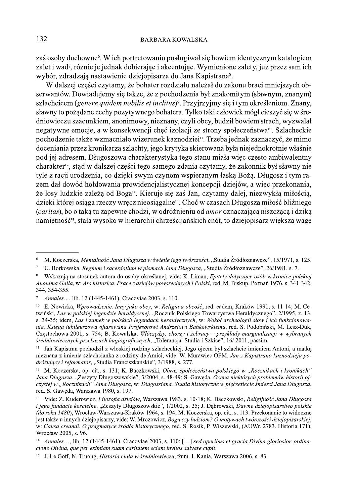zaś osoby duchowne<sup>6</sup>. W ich portretowaniu posługiwał się bowiem identycznym katalogiem zalet i wad<sup>7</sup>, różnie je jednak dobierając i akcentując. Wymienione zalety, już przez sam ich wybór, zdradzają nastawienie dziejopisarzą do Jana Kapistrana<sup>8</sup>.

W dalszej części czytamy, że bohater rozdziału należał do zakonu braci mniejszych obserwantów. Dowiadujemy się także, że z pochodzenia był znakomitym (sławnym, znanym) szlachcicem (genere quidem nobilis et inclitus)<sup>9</sup>. Przyjrzyjmy się i tym określeniom. Znany, sławny to pożądane cechy pozytywnego bohatera. Tylko taki człowiek mógł cieszyć się w średniowieczu szacunkiem, anonimowy, nieznany, czyli obcy, budził bowiem strach, wyzwalał negatywne emocje, a w konsekwencji chęć izolacji ze strony społeczeństwa<sup>10</sup>. Szlacheckie pochodzenie także wzmacniało wizerunek kaznodziej<sup>11</sup>. Trzeba jednak zaznaczyć, że mimo doceniania przez kronikarza szlachty, jego krytyka skierowana była niejednokrotnie właśnie pod jej adresem. Długoszowa charakterystyka tego stanu miała więc często ambiwalentny charakter<sup>12</sup>, stąd w dalszej części tego samego zdania czytamy, że zakonnik był sławny nie tyle z racji urodzenia, co dzięki swym czynom wspieranym łaską Bożą. Długosz i tym razem dał dowód hołdowania prowidencjalistycznej koncepcji dziejów, a więc przekonania, że losy ludzkie zależą od Boga<sup>13</sup>. Kieruje się zaś Jan, czytamy dalej, niezwykłą miłością, dzięki której osiąga rzeczy wręcz nieosiągalne<sup>14</sup>. Choć w czasach Długosza miłość bliźniego (caritas), bo o taką tu zapewne chodzi, w odróżnieniu od *amor* oznaczającą niszczącą i dziką namietność<sup>15</sup>, stała wysoko w hierarchii chrześcijańskich cnót, to dziejopisarz większą wagę

 $\ddot{6}$ M. Koczerska, Mentalność Jana Długosza w świetle jego twórczości, "Studia Źródłoznawcze", 15/1971, s. 125.

U. Borkowska, Regnum i sacerdotium w pismach Jana Długosza, "Studia Źródłoznawcze", 26/1981, s. 7.  $\overline{7}$ 

 $\,$  8  $\,$ Wskazują na stosunek autora do osoby określanej, vide: K. Liman, Epitety dotyczące osób w kronice polskiej Anonima Galla, w: Ars historica. Prace z dziejów powszechnych i Polski, red. M. Biskup, Poznań 1976, s. 341-342, 344, 354-355.

 $\overline{9}$ Annales..., lib. 12 (1445-1461), Cracoviae 2003, s. 110.

 $10\,$ E. Nowicka, Wprowadzenie. Inny jako obcy, w: Religia a obcość, red. eadem, Kraków 1991, s. 11-14; M. Cetwiński, Las w polskiej legendzie heraldycznej, "Rocznik Polskiego Towarzystwa Heraldycznego", 2/1995, z. 13, s. 34-35; idem, Las i zamek w polskich legendach heraldycznych, w: Wokół archeologii słów i ich funkcjonowania. Ksiega jubileuszowa ofiarowana Profesorowi Andrzejowi Bańkowskiemu, red. S. Podobiński, M. Lesz-Duk, Czestochowa 2001, s. 754; B. Kowalska, Włóczedzy, chorzy i żebracy – przykłady marginalizacji w wybranych średniowiecznych przekazach hagiograficznych, "Tolerancja. Studia i Szkice", 16/2011, passim.

Jan Kapistran pochodził z włoskiej rodziny szlacheckiej. Jego ojcem był szlachcic imieniem Antoni, a matką nieznana z imienia szlachcianka z rodziny de Amici, vide: W. Murawiec OFM, Jan z Kapistrano kaznodzieja podróżujący i reformator, "Studia Franciszkańskie", 3/1988, s. 277.

<sup>&</sup>lt;sup>12</sup> M. Koczerska, op. cit., s. 131; K. Baczkowski, Obraz społeczeństwa polskiego w "Rocznikach i kronikach" Jana Długosza, "Zeszyty Długoszowskie", 3/2004, s. 48-49; S. Gaweda, Ocena niektórych problemów historii ojczystej w "Rocznikach" Jana Długosza, w: Długossiana. Studia historyczne w pięćsetlecie śmierci Jana Długosza, red. S. Gaweda, Warszawa 1980, s. 197.

 $13<sup>-13</sup>$ Vide: Z. Kuderowicz, Filozofia dziejów, Warszawa 1983, s. 10-18; K. Baczkowski, Religijność Jana Długosza i jego fundacje kościelne, "Zeszyty Długoszowskie", 1/2002, s. 25; J. Dąbrowski, Dawne dziejopisarstwo polskie (do roku 1480), Wrocław-Warszawa-Kraków 1964, s. 194; M. Koczerska, op. cit., s. 113. Przekonanie to widoczne jest także u innych dziejopisarzy, vide: W. Mrozowicz, Bogu czy ludziom? O motywach twórczości dziejopisarskiej, w: Causa creandi. O pragmatyce źródła historycznego, red. S. Rosik, P. Wiszewski, (AUWr. 2783. Historia 171), Wrocław 2005, s. 96.

<sup>&</sup>lt;sup>14</sup> Annales..., lib. 12 (1445-1461), Cracoviae 2003, s. 110: [...] sed operibus et gracia Divina gloriosior, ordinacione Divina, que per eximiam suam caritatem eciam invitos salvare cupit.

<sup>&</sup>lt;sup>15</sup> J. Le Goff, N. Truong, *Historia ciala w średniowieczu*, tłum. I. Kania, Warszawa 2006, s. 83.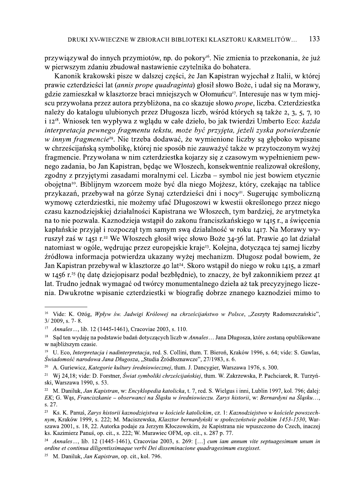przywiązywał do innych przymiotów, np. do pokory<sup>16</sup>. Nie zmienia to przekonania, że już w pierwszym zdaniu zbudował nastawienie czytelnika do bohatera.

Kanonik krakowski pisze w dalszej części, że Jan Kapistran wyjechał z Italii, w której prawie czterdzieści lat (annis prope quadraginta) głosił słowo Boże, i udał się na Morawy, gdzie zamieszkał w klasztorze braci mniejszych w Ołomuńcu<sup>17</sup>. Interesuje nas w tym miejscu przywołana przez autora przybliżona, na co skazuje słowo *prope*, liczba. Czterdziestka należy do katalogu ulubionych przez Długosza liczb, wśród których są także 2, 3, 5, 7, 10 i 12<sup>18</sup>. Wniosek ten wypływa z wglądu w całe dzieło, bo jak twierdzi Umberto Eco: każda interpretacja pewnego fragmentu tekstu, może być przyjeta, jeżeli zyska potwierdzenie *w innym fragmencie<sup>19</sup>*. Nie trzeba dodawać, że wymienione liczby są głęboko wpisane w chrześcijańską symbolikę, której nie sposób nie zauważyć także w przytoczonym wyżej fragmencie. Przywołana w nim czterdziestka kojarzy się z czasowym wypełnieniem pewnego zadania, bo Jan Kapistran, będąc we Włoszech, konsekwentnie realizował określony, zgodny z przyjętymi zasadami moralnymi cel. Liczba – symbol nie jest bowiem etycznie obojętna<sup>20</sup>. Biblijnym wzorcem może być dla niego Mojżesz, który, czekając na tablice przykazań, przebywał na górze Synaj czterdzieści dni i nocy<sup>21</sup>. Sugerując symboliczną wymowę czterdziestki, nie możemy ufać Długoszowi w kwestii określonego przez niego czasu kaznodziejskiej działalności Kapistrana we Włoszech, tym bardziej, że arytmetyka na to nie pozwala. Kaznodzieja wstąpił do zakonu franciszkańskiego w 1415 r., a święcenia kapłańskie przyjął i rozpoczął tym samym swą działalność w roku 1417. Na Morawy wyruszył zaś w 1451 r.<sup>22</sup> We Włoszech głosił wiec słowo Boże 34-36 lat. Prawie 40 lat działał natomiast w ogóle, wedrując przez europejskie kraję<sup>23</sup>. Kolejna, dotycząca tej samej liczby źródłowa informacja potwierdza ukazany wyżej mechanizm. Długosz podał bowiem, że Jan Kapistran przebywał w klasztorze 40 lat<sup>24</sup>. Skoro wstąpił do niego w roku 1415, a zmarł w 1456 r.<sup>25</sup> (te date dziejopisarz podał bezbłędnie), to znaczy, że był zakonnikiem przez 41 lat. Trudno jednak wymagać od twórcy monumentalnego dzieła aż tak precyzyjnego liczenia. Dwukrotne wpisanie czterdziestki w biografie dobrze znanego kaznodziei mimo to

<sup>&</sup>lt;sup>16</sup> Vide: K. Ożóg, Wpływ św. Jadwigi Królowej na chrześcijaństwo w Polsce, "Zeszyty Radomszczańskie",  $3/2009$ , s. 7-8.

<sup>17</sup> Annales..., lib. 12 (1445-1461), Cracoviae 2003, s. 110.

<sup>&</sup>lt;sup>18</sup> Sąd ten wydaję na podstawie badań dotyczących liczb w Annales... Jana Długosza, które zostaną opublikowane w naibliższym czasie.

<sup>&</sup>lt;sup>19</sup> U. Eco, *Interpretacia i nadinterpretacia*, red. S. Collini, tłum. T. Bieroń, Kraków 1996, s. 64; vide: S. Gawlas, Świadomość narodowa Jana Długosza, "Studia Źródłoznawcze", 27/1983, s. 6.

 $20\,$ A. Guriewicz, Kategorie kultury średniowiecznej, tłum. J. Dancygier, Warszawa 1976, s. 300.

<sup>&</sup>lt;sup>21</sup> Wj 24,18; vide: D. Forstner, Świat symboliki chrześcijańskiej, tłum. W. Zakrzewska, P. Pachciarek, R. Turzyński, Warszawa 1990, s. 53.

<sup>&</sup>lt;sup>22</sup> M. Daniluk, Jan Kapistran, w: Encyklopedia katolicka, t. 7, red. S. Wielgus i inni, Lublin 1997, kol. 796; dalei: EK; G. Was, Franciszkanie – obserwanci na Ślasku w średniowieczu. Zarys historii, w: Bernardyni na Ślasku..., s. 27.

<sup>23</sup> Ks. K. Panuś, Zarys historii kaznodziejstwa w kościele katolickim, cz. 1: Kaznodziejstwo w kościele powszechnym, Kraków 1999, s. 222; M. Maciszewska, Klasztor bernardyński w społeczeństwie polskim 1453-1530, Warszawa 2001, s. 18, 22. Autorka podaje za Jerzym Kłoczowskim, że Kapistrana nie wpuszczono do Czech, inaczej ks. Kazimierz Panuś, op. cit., s. 222; W. Murawiec OFM, op. cit., s. 287 p. 77.

Annales..., lib. 12 (1445-1461), Cracoviae 2003, s. 269: [...] cum iam annum vite septuagesimum unum in ordine et continua diligentissimaque verbi Dei disseminacione quadragesimum exegisset.

<sup>&</sup>lt;sup>25</sup> M. Daniluk. *Jan Kapistran*, op. cit., kol. 796.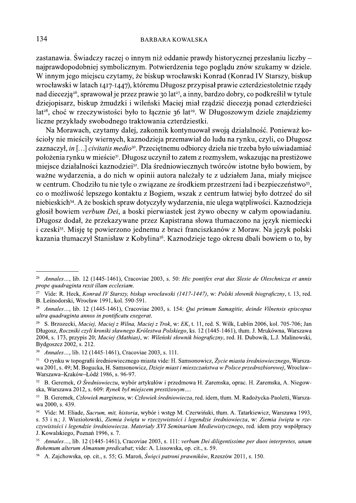zastanawia. Świadczy raczej o innym niż oddanie prawdy historycznej przesłaniu liczby – najprawdopodobniej symbolicznym. Potwierdzenia tego poglądu znów szukamy w dziele. W innym jego miejscu czytamy, że biskup wrocławski Konrad (Konrad IV Starszy, biskup wrocławski w latach 1417-1447), któremu Długosz przypisał prawie czterdziestoletnie rządy nad diecezją<sup>26</sup>, sprawował je przez prawie 30 lat<sup>27</sup>, a inny, bardzo dobry, co podkreślił w tytule dziejopisarz, biskup żmudzki i wileński Maciej miał rządzić diecezją ponad czterdzieści lat<sup>28</sup>, choć w rzeczywistości było to łącznie 36 lat<sup>29</sup>. W Długoszowym dziele znajdziemy liczne przykłady swobodnego traktowania czterdziestki.

Na Morawach, czytamy dalej, zakonnik kontynuował swoją działalność. Ponieważ kościoły nie mieściły wiernych, kaznodzieja przemawiał do ludu na rynku, czyli, co Długosz zaznaczył, in [...] civitatis medio<sup>30</sup>. Przeciętnemu odbiorcy dzieła nie trzeba było uświadamiać położenia rynku w mieście<sup>31</sup>. Długosz uczynił to zatem z rozmysłem, wskazując na prestiżowe miejsce działalności kaznodziej<sup>32</sup>. Dla średniowiecznych twórców istotne było bowiem, by ważne wydarzenia, a do nich w opinii autora należały te z udziałem Jana, miały miejsce w centrum. Chodziło tu nie tyle o związane ze środkiem przestrzeni ład i bezpieczeństwo<sup>33</sup>, co o możliwość lepszego kontaktu z Bogiem, wszak z centrum łatwiej było dotrzeć do sił niebieskich<sup>34</sup>. A że boskich spraw dotyczyły wydarzenia, nie ulega wątpliwości. Kaznodzieja głosił bowiem verbum Dei, a boski pierwiastek jest żywo obecny w całym opowiadaniu. Długosz dodał, że przekazywane przez Kapistrana słowa tłumaczono na język niemiecki i czeski<sup>35</sup>. Misję tę powierzono jednemu z braci franciszkanów z Moraw. Na język polski kazania tłumaczył Stanisław z Kobylina<sup>36</sup>. Kaznodzieje tego okresu dbali bowiem o to, by

<sup>&</sup>lt;sup>26</sup> Annales..., lib. 12 (1445-1461), Cracoviae 2003, s. 50: Hic pontifex erat dux Slesie de Oleschnicza et annis prope quadraginta rexit illam ecclesiam.

<sup>&</sup>lt;sup>27</sup> Vide: R. Heck, *Konrad IV Starszy, biskup wrocławski (1417-1447)*, w: Polski słownik biograficzny, t. 13, red. B. Leśnodorski, Wrocław 1991, kol. 590-591.

 $28\,$ Annales..., lib. 12 (1445-1461), Cracoviae 2003, s. 154: Qui primum Samagitie, deinde Vilnensis episcopus ultra quadraginta annos in pontificatu exegerat.

<sup>&</sup>lt;sup>29</sup> S. Brzozecki, *Maciej, Maciej z Wilna, Maciej z Trok*, w: EK, t. 11, red. S. Wilk, Lublin 2006, kol. 705-706; Jan Długosz, Roczniki czyli kroniki sławnego Królestwa Polskiego, ks. 12 (1445-1461), tłum. J. Mrukówna, Warszawa 2004, s. 173, przypis 20; Maciej (Mathias), w: Wileński słownik biograficzny, red. H. Dubowik, L.J. Malinowski, Bydgoszcz 2002, s. 212.

 $30<sub>1</sub>$ Annales ..., lib. 12 (1445-1461), Cracoviae 2003, s. 111.

 $31\,$ O rynku w topografii średniowiecznego miasta vide: H. Samsonowicz, Życie miasta średniowiecznego, Warszawa 2001, s. 49; M. Bogucka, H. Samsonowicz, Dzieje miast i mieszczaństwa w Polsce przedrozbiorowej, Wrocław-Warszawa-Kraków-Łódź 1986, s. 96-97.

B. Geremek, O Średniowieczu, wybór artykułów i przedmowa H. Zaremska, oprac. H. Zaremska, A. Niegow- $32$ ska, Warszawa 2012, s. 609: Rynek był miejscem prestiżowym....

 $33\,$ B. Geremek, Człowiek marginesu, w: Człowiek średniowiecza, red. idem, tłum. M. Radożycka-Paoletti, Warszawa 2000, s. 439.

<sup>&</sup>lt;sup>34</sup> Vide: M. Eliade, Sacrum, mit, historia, wybór i wstęp M. Czerwiński, tłum. A. Tatarkiewicz, Warszawa 1993, s. 53 i n.; J. Wiesiołowski, Ziemia świeta w rzeczywistości i legendzie średniowiecza, w: Ziemia świeta w rzeczywistości i legendzie średniowiecza. Materiały XVI Seminarium Mediewistycznego, red. idem przy współpracy J. Kowalskiego, Poznań 1996, s. 7.

<sup>35</sup> Annales..., lib. 12 (1445-1461), Cracoviae 2003, s. 111: verbum Dei diligentissime per duos interpretes, unum Bohemum alterum Almanum predicabat; vide: A. Lissowska, op. cit., s. 59.

<sup>&</sup>lt;sup>36</sup> A. Zajchowska, op. cit., s. 55; G. Maroń, Świeci patroni prawników, Rzeszów 2011, s. 150.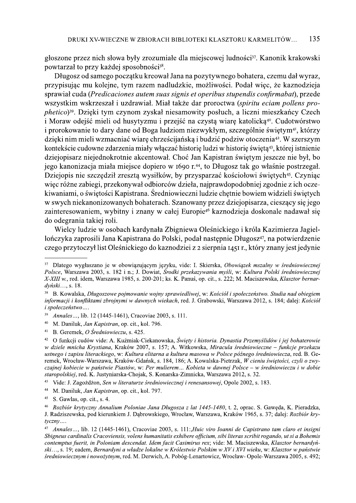głoszone przez nich słowa były zrozumiałe dla miejscowej ludności<sup>37</sup>. Kanonik krakowski powtarzał to przy każdej sposobności<sup>38</sup>.

Długosz od samego początku kreował Jana na pozytywnego bohatera, czemu dał wyraz, przypisując mu kolejne, tym razem nadludzkie, możliwości. Podał więc, że kaznodzieja sprawiał cuda (Predicaciones autem suas signis et operibus stupendis confirmabat), przede wszystkim wskrzeszał i uzdrawiał. Miał także dar proroctwa (spiritu eciam pollens pro*phetico*)<sup>39</sup>. Dzięki tym czynom zyskał niesamowity posłuch, a liczni mieszkańcy Czech i Moraw odejść mieli od husytyzmu i przejść na czystą wiarę katolicką<sup>40</sup>. Cudotwórstwo i prorokowanie to dary dane od Boga ludziom niezwykłym, szczególnie świętym<sup>41</sup>, którzy dzięki nim mieli wzmacniać wiarę chrześcijańską i budzić podziw otoczenia<sup>42</sup>. W szerszym kontekście cudowne zdarzenia miały włączać historię ludzi w historię świętą<sup>43</sup>, której istnienie dziejopisarz niejednokrotnie akcentował. Choć Jan Kapistran świętym jeszcze nie był, bo jego kanonizacja miała miejsce dopiero w 1690 r.<sup>44</sup>, to Długosz tak go właśnie postrzegał. Dziejopis nie szczędził zresztą wysiłków, by przysparzać kościołowi świętych<sup>45</sup>. Czyniąc więc różne zabiegi, przekonywał odbiorców dzieła, najprawdopodobniej zgodnie z ich oczekiwaniami, o świętości Kapistrana. Średniowieczni ludzie chętnie bowiem widzieli świętych w swych niekanonizowanych bohaterach. Szanowany przez dziejopisarza, cieszący się jego zainteresowaniem, wybitny i znany w całej Europie<sup>46</sup> kaznodzieja doskonale nadawał się do odegrania takiej roli.

Wielcy ludzie w osobach kardynała Zbigniewa Oleśnickiego i króla Kazimierza Jagiellończyka zaprosili Jana Kapistrana do Polski, podał następnie Długosz<sup>47</sup>, na potwierdzenie czego przytoczył list Oleśnickiego do kaznodziej z 2 sierpnia 1451 r., który znany jest jedynie

43 Vide: J. Zagożdżon, Sen w literaturze średniowiecznej i renesansowej, Opole 2002, s. 183.

<sup>&</sup>lt;sup>37</sup> Dlatego wygłaszano je w obowiązującym języku, vide: I. Skierska, Obowiązek mszalny w średniowiecznej Polsce, Warszawa 2003, s. 182 i n.; J. Dowiat, Środki przekazywania myśli, w: Kultura Polski średniowiecznej X-XIII w., red. idem, Warszawa 1985, s. 200-201; ks. K. Panuś, op. cit., s. 222; M. Maciszewska, Klasztor bernardvński..., s. 18.

<sup>38</sup> B. Kowalska, Długoszowe pojmowanie wojny sprawiedliwej, w: Kościół i społeczeństwo. Studia nad obiegiem informacji i konfliktami zbrojnymi w dawnych wiekach, red. J. Grabowski, Warszawa 2012, s. 184; dalej: Kościół i społeczeństwo....

<sup>39</sup> Annales..., lib. 12 (1445-1461), Cracoviae 2003, s. 111.

<sup>40</sup> M. Daniluk, Jan Kapistran, op. cit., kol. 796.

 $41\,$ B. Geremek, O Średniowieczu, s. 425.

<sup>42</sup> O funkcii cudów vide: A. Kuźmiak-Ciekanowska, Świety i historia. Dynastia Przemyślidów i jej bohaterowie w dziele mnicha Krystiana, Kraków 2007, s. 157; A. Witkowska, Miracula średniowieczne – funkcje przekazu ustnego i zapisu literackiego, w: Kultura elitarna a kultura masowa w Polsce późnego średniowiecza, red. B. Geremek, Wrocław-Warszawa, Kraków-Gdańsk, s. 184, 186; A. Kowalska-Pietrzak, W cieniu świętości, czyli o zwyczajnej kobiecie w państwie Piastów, w: Per mulierem... Kobieta w dawnej Polsce – w średniowieczu i w dobie staropolskiej, red. K. Justyniarska-Chojak, S. Konarska-Zimnicka, Warszawa 2012, s. 32.

 $44$ M. Daniluk, Jan Kapistran, op. cit., kol. 797.

<sup>45</sup> S. Gawlas, op. cit., s. 4.

<sup>46</sup> Rozbiór krytyczny Annalium Poloniae Jana Długosza z lat 1445-1480, t. 2, oprac. S. Gaweda, K. Pieradzka, J. Radziszewska, pod kierunkiem J. Dąbrowskiego, Wrocław, Warszawa, Kraków 1965, s. 37; dalej: Rozbiór kry $tyczny...$ 

<sup>47</sup> Annales..., lib. 12 (1445-1461). Cracoviae 2003, s. 111: Huic viro Ioanni de Capistrano tam claro et insigni Sbigneus cardinalis Cracoviensis, volens humanitatis exhibere officium, sibi literas scribit rogando, ut si a Bohemis contemptus fuerit, in Poloniam descendat. Idem facit Casimirus rex; vide: M. Maciszewska, Klasztor bernardyński..., s. 19; eadem, Bernardyni a władze lokalne w Królestwie Polskim w XV i XVI wieku, w: Klasztor w państwie średniowiecznym i nowożytnym, red. M. Derwich, A. Pobóg-Lenartowicz, Wrocław- Opole-Warszawa 2005, s. 492;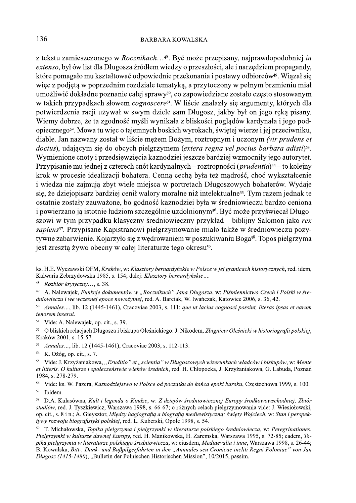## **BARBARA KOWALSKA**

z tekstu zamieszczonego w *Rocznikach*...<sup>48</sup>. Być może przepisany, najprawdopodobniej *in* extenso, był ów list dla Długosza źródłem wiedzy o przeszłości, ale i narzędziem propagandy, które pomagało mu kształtować odpowiednie przekonania i postawy odbiorców<sup>49</sup>. Wiązał się więc z podjętą w poprzednim rozdziale tematyką, a przytoczony w pełnym brzmieniu miał umożliwić dokładne poznanie całej sprawy<sup>50</sup>, co zapowiedziane zostało często stosowanym w takich przypadkach słowem *cognoscere*<sup>51</sup>. W liście znalazły się argumenty, których dla potwierdzenia racji używał w swym dziele sam Długosz, jakby był on jego ręką pisany. Wiemy dobrze, że ta zgodność myśli wynikała z bliskości poglądów kardynała i jego podopiecznego<sup>52</sup>. Mowa tu więc o tajemnych boskich wyrokach, świętej wierze i jej przeciwniku, diable. Jan nazwany został w liście mężem Bożym, roztropnym i uczonym (vir prudens et doctus), udającym się do obcych pielgrzymem (*extera regna vel pocius barbara adisti*)<sup>53</sup>. Wymienione cnoty i przedsięwzięcia kaznodziei jeszcze bardziej wzmocniły jego autorytet. Przypisanie mu jednej z czterech cnót kardynalnych – roztropności (*prudentia*)<sup>54</sup> – to kolejny krok w procesie idealizacji bohatera. Cenną cechą była też mądrość, choć wykształcenie i wiedza nie zajmują zbyt wiele miejsca w portretach Długoszowych bohaterów. Wydaje się, że dziejopisarz bardziej cenił walory moralne niż intelektualne<sup>55</sup>. Tym razem jednak te ostatnie zostały zauważone, bo godność kaznodziej była w średniowieczu bardzo ceniona i powierzano ją istotnie ludziom szczególnie uzdolnionym<sup>56</sup>. Być może przyświecał Długoszowi w tym przypadku klasyczny średniowieczny przykład – biblijny Salomon jako rex sapiens<sup>57</sup>. Przypisane Kapistranowi pielgrzymowanie miało także w średniowieczu pozytywne zabarwienie. Kojarzyło się z wędrowaniem w poszukiwaniu Boga<sup>58</sup>. Topos pielgrzyma jest zreszta żywo obecny w całej literaturze tego okresu<sup>59</sup>.

56 Vide: ks. W. Pazera, Kaznodziejstwo w Polsce od początku do końca epoki baroku, Częstochowa 1999, s. 100. 57 Ibidem.

ks. H.E. Wyczawski OFM, Kraków, w: Klasztory bernardyńskie w Polsce w jej granicach historycznych, red. idem, Kalwaria Zebrzydowska 1985, s. 154; dalej: Klasztory bernardyńskie....

<sup>48</sup> Rozbiór krytyczny..., s. 38.

<sup>49</sup> A. Nalewajek, Funkcje dokumentów w "Rocznikach" Jana Długosza, w: Piśmiennictwo Czech i Polski w średniowieczu i we wczesnej epoce nowożytnej, red. A. Barciak, W. Iwańczak, Katowice 2006, s. 36, 42.

<sup>50</sup> Annales..., lib. 12 (1445-1461), Cracoviae 2003, s. 111: que ut lacius cognosci possint, literas ipsas et earum tenorem inserui.

<sup>51</sup> Vide: A. Nalewajek, op. cit., s. 39.

<sup>&</sup>lt;sup>52</sup> O bliskich relaciach Długosza i biskupa Oleśnickiego: J. Nikodem. Zbigniew Oleśnicki w historiografii polskiej. Kraków 2001, s. 15-57.

<sup>53</sup> Annales..., lib. 12 (1445-1461), Cracoviae 2003, s. 112-113.

<sup>54</sup> K. Ożóg, op. cit., s. 7.

<sup>&</sup>lt;sup>55</sup> Vide: J. Krzyżaniakowa, "*Eruditio" et "scientia" w Długoszowych wizerunkach władców i biskupów*, w: Mente et litteris. O kulturze i społeczeństwie wieków średnich, red. H. Chłopocka, J. Krzyżaniakowa, G. Labuda, Poznań 1984, s. 278-279.

 $58\,$ D.A. Kulasówna, Kult i legenda o Kindze, w: Z dziejów średniowiecznej Europy środkowowschodniej. Zbiór studiów, red. J. Tyszkiewicz, Warszawa 1998, s. 66-67; o różnych celach pielgrzymowania vide: J. Wiesiołowski, op. cit., s. 8 i n.; A. Gieysztor, Między hagiografią a biografią mediewistyczną: święty Wojciech, w: Stan i perspektywy rozwoju biografistyki polskiej, red. L. Kuberski, Opole 1998, s. 54.

<sup>&</sup>lt;sup>59</sup> T. Michałowska, Topika pielgrzyma i pielgrzymki w literaturze polskiego średniowiecza, w: Peregrinationes, Pielerzymki w kulturze dawnej Europy, red. H. Manikowska, H. Zaremska, Warszawa 1995, s. 72-85; eadem. Topika pielgrzymią w literaturze polskiego średniowiecza, w: ejusdem, Mediaevalia i inne, Warszawa 1998, s. 26-44; B. Kowalska, Bitt-, Dank- und Bußpilgerfahrten in den "Annnales seu Cronicae incliti Regni Poloniae" von Jan Długosz (1415-1480), "Bulletin der Polnischen Historischen Mission", 10/2015, passim.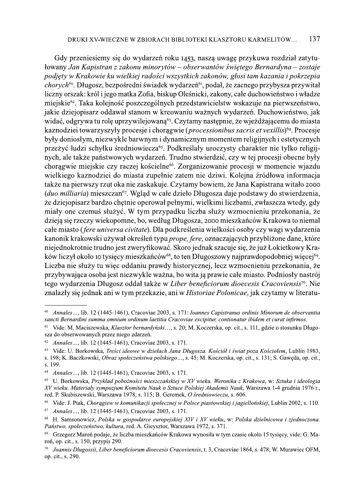Gdy przeniesiemy się do wydarzeń roku 1453, naszą uwagę przykuwa rozdział zatytułowany Jan Kapistran z zakonu minorytów – obserwantów świętego Bernardyna – zostaje podjety w Krakowie ku wielkiej radości wszystkich zakonów, głosi tam kazania i pokrzepia chorych<sup>60</sup>. Długosz, bezpośredni świadek wydarzeń<sup>61</sup>, podał, że zacnego przybysza przywitał liczny orszak: król i jego matka Zofia, biskup Oleśnicki, zakony, całe duchowieństwo i władze miejskie<sup>62</sup>. Taka kolejność poszczególnych przedstawicielstw wskazuje na pierwszeństwo, jakie dziejopisarz oddawał stanom w kreowaniu ważnych wydarzeń. Duchowieństwo, jak widać, odgrywa tu rolę uprzywilejowaną<sup>63</sup>. Czytamy następnie, że wieżdżającemu do miasta kaznodziej towarzyszyły procesje i choragwie (*processionibus sacris et vexillis*)<sup>64</sup>. Procesje były doniosłym, niezwykle barwnym i dynamicznym momentem religijnych i estetycznych przeżyć ludzi schyłku średniowiecza<sup>65</sup>. Podkreślały uroczysty charakter nie tylko religijnych, ale także państwowych wydarzeń. Trudno stwierdzić, czy w tej procesji obecne były chorągwie miejskie czy raczej kościelne<sup>66</sup>. Zorganizowanie procesji w momencie wjazdu wielkiego kaznodziei do miasta zupełnie zatem nie dziwi. Kolejna źródłowa informacja także na pierwszy rzut oka nie zaskakuje. Czytamy bowiem, że Jana Kapistrana witało 2000 *(duo milliaria)* mieszczan<sup>67</sup>. Wgląd w całe dzieło Długosza daje podstawy do stwierdzenia, że dziejopisarz bardzo chętnie operował pełnymi, wielkimi liczbami, zwłaszcza wtedy, gdy miały one czemuś służyć. W tym przypadku liczba służy wzmocnieniu przekonania, że dzieją się rzeczy wiekopomne, bo, według Długosza, 2000 mieszkańców Krakowa to niemal całe miasto (fere universa civitate). Dla podkreślenia wielkości osoby czy wagi wydarzenia kanonik krakowski używał określeń typu *prope, fere*, oznaczających przybliżone dane, które niejednokrotnie trudno jest zweryfikować. Skoro jednak szacuje się, że już Łokietkowy Kraków liczył około 10 tysięcy mieszkańców<sup>68</sup>, to ten Długoszowy najprawdopodobniej więcej<sup>69</sup>. Liczba nie służy tu więc oddaniu prawdy historycznej, lecz wzmocnieniu przekonania, że przybywająca osoba jest niezwykle ważna, bo wita ją prawie całe miasto. Podniosły nastrój tego wydarzenia Długosz oddał także w Liber beneficiorum dioecesis Cracoviensis<sup>70</sup>. Nie znalazły się jednak ani w tym przekazie, ani w *Historiae Polonicae*, jak czytamy w literatu-

Annales..., lib. 12 (1445-1461), Cracoviae 2003, s. 171: Ioannes Capistranus ordinis Minorum de observantia 60 sancti Bernardini summa omnium ordinum laetitia Cracoviae excipitur, contionatur ibidem et curat infirmos.

Vide: M. Maciszewska, Klasztor bernardyński..., s. 20; M. Koczerska, op. cit., s. 111, gdzie o stosunku Długosza do obserwowanych przez niego zdarzeń.

<sup>62</sup> Annales..., lib. 12 (1445-1461), Cracoviae 2003, s. 171.

Vide: U. Borkowska, Treści ideowe w dziełach Jana Długosza. Kościół i świat poza Kościołem, Lublin 1983, 63 s. 198; K. Baczkowski, Obraz społeczeństwa polskiego..., s. 45; M. Koczerska, op. cit., s. 131; S. Gaweda, op. cit.,

s. 199.

<sup>64</sup> Annales..., lib. 12 (1445-1461), Cracoviae 2003, s. 171.

<sup>65</sup> U. Borkowska, Przykład pobożności mieszczańskiej w XV wieku. Weronika z Krakowa, w: Sztuka i ideologia XV wieku. Materiały sympozjum Komitetu Nauk o Sztuce Polskiej Akademii Nauk, Warszawa 1-4 grudnia 1976 r., red. P. Skubiszewski, Warszawa 1978, s. 115; B. Geremek, O średniowieczu, s. 606.

<sup>66</sup> Vide: J. Ptak, Chorągiew w komunikacji społecznej w Polsce piastowskiej i jagiellońskiej, Lublin 2002, s. 110.

<sup>67</sup> *Annales...*, lib. 12 (1445-1461), Cracoviae 2003, s. 171.

<sup>&</sup>lt;sup>68</sup> H. Samsonowicz, Polska w gospodarce europejskiej XIV i XV wieku, w: Polska dzielnicowa i zjednoczona. Państwo, społeczeństwo, kultura, red. A. Gieysztor, Warszawa 1972, s. 371.

Grzegorz Maroń podaje, że liczba mieszkańców Krakowa wynosiła w tym czasie około 15 tysięcy, vide: G. Maroń, op. cit., s. 150, przypis 290.

Joannis Dlugossii, Liber beneficiorum dioecesis Cracoviensis, t. 3, Cracoviae 1864, s. 478; W. Murawiec OFM, op. cit., s. 290.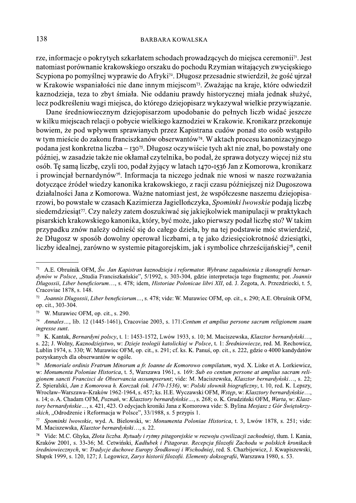rze, informacje o pokrytych szkarłatem schodach prowadzących do miejsca ceremonii<sup>71</sup>. Jest natomiast porównanie krakowskiego orszaku do pochodu Rzymian witających zwycieskiego Scypiona po pomyślnej wyprawie do Afryki<sup>72</sup>. Długosz przesadnie stwierdził, że gość ujrzał w Krakowie wspaniałości nie dane innym miejscom<sup>73</sup>. Zważając na kraje, które odwiedził kaznodzieja, teza to zbyt śmiała. Nie oddaniu prawdy historycznej miała jednak służyć, lecz podkreśleniu wagi miejsca, do którego dziejopisarz wykazywał wielkie przywiązanie.

Dane średniowiecznym dziejopisarzom upodobanie do pełnych liczb widać jeszcze w kilku miejscach relacji o pobycie wielkiego kaznodziej w Krakowie. Kronikarz przekonuje bowiem, że pod wpływem sprawianych przez Kapistrana cudów ponad sto osób wstąpiło w tym mieście do zakonu franciszkanów obserwantów<sup>74</sup>. W aktach procesu kanonizacyjnego podana jest konkretna liczba – 130<sup>75</sup>. Długosz oczywiście tych akt nie znał, bo powstały one później, w zasadzie także nie okłamał czytelnika, bo podał, że sprawa dotyczy więcej niż stu osób. Tę samą liczbę, czyli 100, podał żyjący w latach 1470-1536 Jan z Komorowa, kronikarz i prowincjał bernardynów<sup>76</sup>. Informacja ta niczego jednak nie wnosi w nasze rozważania dotyczące źródeł wiedzy kanonika krakowskiego, z racji czasu późniejszej niż Dugoszowa działalności Jana z Komorowa. Ważne natomiast jest, że współczesne naszemu dziejopisarzowi, bo powstałe w czasach Kazimierza Jagiellończyka, Spominki lwowskie podają liczbę siedemdziesiąt<sup>77</sup>. Czy należy zatem doszukiwać się jakiejkolwiek manipulacji w praktykach pisarskich krakowskiego kanonika, który, być może, jako pierwszy podał liczbę sto? W takim przypadku znów należy odnieść się do całego dzieła, by na tej podstawie móc stwierdzić, że Długosz w sposób dowolny operował liczbami, a tę jako dziesięciokrotność dziesiątki, liczby idealnej, zarówno w systemie pitagorejskim, jak i symbolice chrześcijańskiej<sup>78</sup>, cenił

<sup>71</sup> A.E. Obruśnik OFM, Św. Jan Kapistran kaznodzieja i reformator. Wybrane zagadnienia z ikonografii bernardynów w Polsce, "Studia Franciszkańskie", 5/1992, s. 303-304, gdzie interpretacja tego fragmentu; por. Joannis Dlugossii, Liber beneficiorum..., s. 478; idem, Historiae Polonicae libri XII, ed. J. Żegota, A. Przezdziecki, t. 5, Cracoviae 1878, s. 148.

 $72\,$ Joannis Dlugossii, Liber beneficiorum..., s. 478; vide: W. Murawiec OFM, op. cit., s. 290; A.E. Obruśnik OFM, op. cit., 303-304.

<sup>73</sup> W. Murawiec OFM, op. cit., s. 290.

 $74\,$ Annales..., lib. 12 (1445-1461), Cracoviae 2003, s. 171: Centum et amplius persone sacram religionem suam ingresse sunt.

<sup>75</sup> K. Kantak, Bernardyni polscy, t. 1: 1453-1572, Lwów 1933, s. 10; M. Maciszewska, Klasztor bernardyński..., s. 22; J. Wolny, Kaznodziejstwo, w: Dzieje teologii katolickiej w Polsce, t. 1: Średniowiecze, red. M. Rechowicz, Lublin 1974, s. 330; W. Murawiec OFM, op. cit., s. 291; cf. ks. K. Panuś, op. cit., s. 222, gdzie o 4000 kandydatów pozyskanych dla obserwantów w ogóle.

<sup>76</sup> Memoriale ordinis Fratrum Minorum a fr. Ioanne de Komorowo compilatum, wyd. X. Liske et A. Lorkiewicz, w: Monumenta Poloniae Historica, t. 5, Warszawa 1961, s. 169: Sub eo centum persone at amplius sacram religionem sancti Francisci de Observancia assumpserunt; vide: M. Maciszewska, Klasztor bernardyński..., s. 22; Z. Spieralski, Jan z Komorowa h. Korczak (ok. 1470-1536), w: Polski słownik biograficzny, t. 10, red. K. Lepszy, Wrocław-Warszawa-Kraków 1962-1964, s. 457; ks. H.E. Wyczawski OFM, Wstep, w: Klasztory bernardyńskie.... s. 14; o. A. Chadam OFM, Poznań, w: Klasztory bernardyńskie..., s. 268; o. K. Grudziński OFM, Warta, w: Klasztory bernardyńskie..., s. 421, 423. O edycjach kroniki Jana z Komorowa vide: S. Bylina Mesjasz z Gór Świętokrzyskich, "Odrodzenie i Reformacja w Polsce", 33/1988, s. 5 przypis 1.

Spominki lwowskie, wyd. A. Bielowski, w: Monumenta Poloniae Historica, t. 3, Lwów 1878, s. 251; vide: M. Maciszewska, Klasztor bernardyński..., s. 22.

Vide: M.C. Ghyka, Złota liczba. Rytuały i rytmy pitagorejskie w rozwoju cywilizacji zachodniej, tłum. I. Kania, Kraków 2001, s. 33-36; M. Cetwiński, Kadłubek i Pitagoras, Recepcia filozofii Zachodu w polskich kronikach średniowiecznych, w: Tradycje duchowe Europy Środkowej i Wschodniej, red. S. Chazbijewicz, J. Kwapiszewski, Słupsk 1999, s. 120, 127; J. Legowicz, Zarys historii filozofii. Elementy doksografii, Warszawa 1980, s. 53.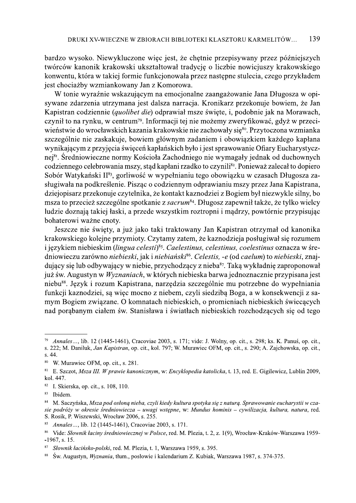bardzo wysoko. Niewykluczone więc jest, że chętnie przepisywany przez późniejszych twórców kanonik krakowski ukształtował tradycję o liczbie nowicjuszy krakowskiego konwentu, która w takiej formie funkcjonowała przez następne stulecia, czego przykładem jest chociażby wzmiankowany Jan z Komorowa.

W tonie wyraźnie wskazującym na emocjonalne zaangażowanie Jana Długosza w opisywane zdarzenia utrzymana jest dalsza narracja. Kronikarz przekonuje bowiem, że Jan Kapistran codziennie (quolibet die) odprawiał msze święte, i, podobnie jak na Morawach, czynił to na rynku, w centrum<sup>79</sup>. Informacji tej nie możemy zweryfikować, gdyż w przeciwieństwie do wrocławskich kazania krakowskie nie zachowały się<sup>80</sup>. Przytoczona wzmianka szczególnie nie zaskakuje, bowiem głównym zadaniem i obowiązkiem każdego kapłana wynikającym z przyjęcia święceń kapłańskich było i jest sprawowanie Ofiary Eucharystycznej<sup>81</sup>. Średniowieczne normy Kościoła Zachodniego nie wymagały jednak od duchownych codziennego celebrowania mszy, stąd kapłani rzadko to czynili<sup>82</sup>. Ponieważ zalecał to dopiero Sobór Watykański II<sup>83</sup>, gorliwość w wypełnianiu tego obowiązku w czasach Długosza zasługiwała na podkreślenie. Pisząc o codziennym odprawianiu mszy przez Jana Kapistrana, dziejopisarz przekonuje czytelnika, że kontakt kaznodziej z Bogiem był niezwykle silny, bo msza to przecież szczególne spotkanie z sacrum<sup>84</sup>. Długosz zapewnił także, że tylko wielcy ludzie doznają takiej łaski, a przede wszystkim roztropni i mądrzy, powtórnie przypisując bohaterowi ważne cnoty.

Jeszcze nie święty, a już jako taki traktowany Jan Kapistran otrzymał od kanonika krakowskiego kolejne przymioty. Czytamy zatem, że kaznodzieją posługiwał się rozumem i językiem niebieskim (lingua celesti)<sup>85</sup>. Caelestinus, celestinus, coelestinus oznacza w średniowieczu zarówno niebieski, jak i niebiański<sup>86</sup>. Celestis, -e (od caelum) to niebieski, znajdujący się lub odbywający w niebie, przychodzący z nieba<sup>87</sup>. Taką wykładnię zaproponował już św. Augustyn w Wyznaniach, w których niebieska barwa jednoznacznie przypisana jest niebu<sup>88</sup>. Język i rozum Kapistrana, narzędzia szczególnie mu potrzebne do wypełniania funkcji kaznodziej, sa więc mocno z niebem, czyli siedzibą Boga, a w konsekwencji z samym Bogiem związane. O komnatach niebieskich, o promieniach niebieskich świecących nad porąbanym ciałem św. Stanisława i światłach niebieskich rozchodzących się od tego

<sup>79</sup> Annales..., lib. 12 (1445-1461), Cracoviae 2003, s. 171; vide: J. Wolny, op. cit., s. 298; ks. K. Panuś, op. cit.,

s. 222; M. Daniluk, Jan Kapistran, op. cit., kol. 797; W. Murawiec OFM, op. cit., s. 290; A. Zajchowska, op. cit., s. 44.

W. Murawiec OFM, op. cit., s. 281.

<sup>&</sup>lt;sup>81</sup> E. Szczot, Msza III. W prawie kanonicznym, w: Encyklopedia katolicka, t. 13, red. E. Gigilewicz, Lublin 2009, kol. 447.

 $82\,$ I. Skierska, op. cit., s. 108, 110.

<sup>83</sup> Ibidem.

<sup>84</sup> M. Saczyńska, Msza pod osłoną nieba, czyli kiedy kultura spotyka się z naturą. Sprawowanie eucharystii w czasie podróży w okresie średniowiecza – uwagi wstepne, w: Mundus hominis – cywilizacja, kultura, natura, red. S. Rosik, P. Wiszewski, Wrocław 2006, s. 255.

<sup>85</sup> Annales..., lib. 12 (1445-1461), Cracoviae 2003, s. 171.

<sup>86</sup> Vide: Słownik łaciny średniowiecznej w Polsce, red. M. Plezia, t. 2, z. 1(9), Wrocław-Kraków-Warszawa 1959- $-1967$ , s. 15.

<sup>87</sup> Słownik łacińsko-polski, red. M. Plezia, t. 1, Warszawa 1959, s. 395.

<sup>88</sup> Św. Augustyn, *Wyznania*, tłum., posłowie i kalendarium Z. Kubiak, Warszawa 1987, s. 374-375.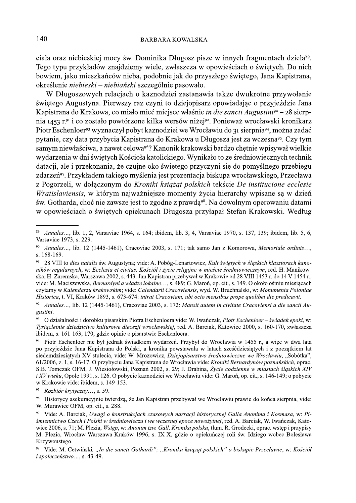ciała oraz niebieskiej mocy św. Dominika Długosz pisze w innych fragmentach dzieła<sup>89</sup>. Tego typu przykładów znajdziemy wiele, zwłaszcza w opowieściach o świętych. Do nich bowiem, jako mieszkańców nieba, podobnie jak do przyszłego świętego, Jana Kapistrana, określenie niebieski – niebiański szczególnie pasowało.

W Długoszowych relacjach o kaznodziei zastanawia także dwukrotne przywołanie świętego Augustyna. Pierwszy raz czyni to dziejopisarz opowiadając o przyjeździe Jana Kapistrana do Krakowa, co miało mieć miejsce właśnie *in die sancti Augustini*<sup>90</sup> – 28 sierpnia 1453 r.<sup>91</sup> i co zostało powtórzone kilka wersów niżej<sup>92</sup>. Ponieważ wrocławski kronikarz Piotr Eschenloer<sup>93</sup> wyznaczył pobyt kaznodziei we Wrocławiu do 31 sierpnia<sup>94</sup>, można zadać pytanie, czy data przybycia Kapistrana do Krakowa u Długosza jest za wczesna<sup>95</sup>. Czy tym samym niewłaściwa, a nawet celowa<sup>96</sup>? Kanonik krakowski bardzo chętnie wpisywał wielkie wydarzenia w dni świętych Kościoła katolickiego. Wynikało to ze średniowiecznych technik datacji, ale i przekonania, że czujne oko świętego przyczyni się do pomyślnego przebiegu zdarzeń<sup>97</sup>. Przykładem takiego myślenia jest prezentacja biskupa wrocławskiego, Przecława z Pogorzeli, w dołączonym do Kroniki książąt polskich tekście De institucione ecclesie Wratislaviensis, w którym najważniejsze momenty życia hierarchy wpisane są w dzień św. Gotharda, choć nie zawsze jest to zgodne z prawdą<sup>98</sup>. Na dowolnym operowaniu datami w opowieściach o świętych opiekunach Długosza przyłapał Stefan Krakowski. Według

<sup>89</sup> Annales ..., lib. 1, 2, Varsaviae 1964, s. 164; ibidem, lib. 3, 4, Varsaviae 1970, s. 137, 139; ibidem, lib. 5, 6, Varsaviae 1973, s. 229.

Annales..., lib. 12 (1445-1461), Cracoviae 2003, s. 171; tak samo Jan z Komorowa, Memoriale ordinis..., s. 168-169.

<sup>91</sup> 28 VIII to dies natalis św. Augustyna; vide: A. Pobóg-Lenartowicz, Kult świętych w śląskich klasztorach kanoników regularnych, w: Ecclesia et civitas. Kościół i życie religijne w mieście średniowiecznym, red. H. Manikowska, H. Zaremska, Warszawa 2002, s. 443. Jan Kapistran przebywał w Krakowie od 28 VIII 1453 r. do 14 V 1454 r., vide: M. Maciszewska, *Bernardyni a władze lokalne...*, s. 489; G. Maroń, op. cit., s. 149. O około ośmiu miesiącach czytamy w Kalendarzu krakowskim; vide: Calendarii Cracoviensis, wyd. W. Bruchnalski, w: Monumenta Poloniae Historica, t. VI, Kraków 1893, s. 673-674: intrat Cracoviam, ubi octo mensibus prope quolibet die predicavit.

 $92\,$ Annales..., lib. 12 (1445-1461), Cracoviae 2003, s. 172: Mansit autem in civitate Cracoviensi a die sancti Augustini.

<sup>93</sup> O działalności i dorobku pisarskim Piotra Eschenloera vide: W. Iwańczak, Piotr Eschenloer - świadek epoki, w: Tysiacletnie dziedzictwo kulturowe diecezji wrocławskiej, red. A. Barciak, Katowice 2000, s. 160-170, zwłaszcza ibidem, s. 161-163, 170, gdzie opinie o pisarstwie Eschenloera.

<sup>94</sup> Piotr Eschenloer nie był jednak świadkiem wydarzeń. Przybył do Wrocławia w 1455 r., a wiec w dwa lata po przyjeździe Jana Kapistrana do Polski, a kronika powstawała w latach sześćdziesiątych i z początkiem lat siedemdziesiatych XV stulecia, vide: W. Mrozowicz, Dziejopisarstwo średniowieczne we Wrocławiu, "Sobótka", 61/2006, z. 1, s. 16-17. O przybyciu Jana Kapistrana do Wrocławia vide: Kroniki Bernardynów poznańskich, oprac. S.B. Tomczak OFM, J. Wiesiołowski, Poznań 2002, s. 29; J. Drabina, Życie codzienne w miastach śląskich XIV i XV wieku, Opole 1991, s. 126. O pobycie kaznodziei we Wrocławiu vide: G. Maroń, op. cit., s. 146-149; o pobycie w Krakowie vide: ibidem, s. 149-153.

<sup>95</sup> Rozbiór krytyczny..., s. 59.

<sup>96</sup> Historycy asekuracyjnie twierdzą, że Jan Kapistran przebywał we Wrocławiu prawie do końca sierpnia, vide: W. Murawiec OFM, op. cit., s. 288.

<sup>97</sup> Vide: A. Barciak, Uwagi o konstrukcjach czasowych narracji historycznej Galla Anonima i Kosmasa, w: Piśmiennictwo Czech i Polski w średniowieczu i we wczesnej epoce nowożytnej, red. A. Barciak, W. Iwańczak, Katowice 2006, s. 71; M. Plezia, *Wstep, w: Anonim tzw. Gall, Kronika polska*, tłum. R. Grodecki, oprac. wstęp i przypisy M. Plezia, Wrocław-Warszawa-Kraków 1996, s. IX-X, gdzie o opiekuńczej roli św. Idziego wobec Bolesława Krzywoustego.

<sup>&</sup>lt;sup>98</sup> Vide: M. Cetwiński, "In die sancti Gothardi"; "Kronika książąt polskich" o biskupie Przecławie, w: Kościół i społeczeństwo..., s. 43-49.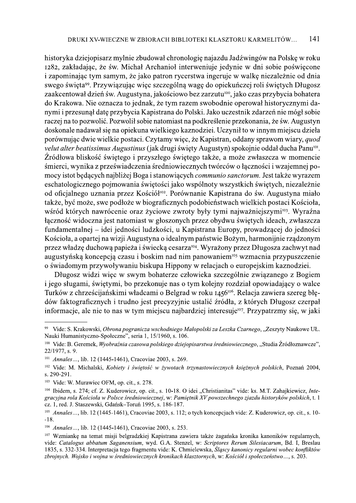historyka dziejopisarz mylnie zbudował chronologie najazdu Jadźwingów na Polskę w roku 1282, zakładając, że św. Michał Archanioł interweniuje jedynie w dni sobie poświęcone i zapominając tym samym, że jako patron rycerstwa ingeruje w walkę niezależnie od dnia swego święta<sup>99</sup>. Przywiązując więc szczególną wagę do opiekuńczej roli świętych Długosz zaakcentował dzień św. Augustyna, jakościowo bez zarzutu<sup>100</sup>, jako czas przybycia bohatera do Krakowa. Nie oznacza to jednak, że tym razem swobodnie operował historycznymi danymi i przesunął datę przybycia Kapistrana do Polski. Jako uczestnik zdarzeń nie mógł sobie raczej na to pozwolić. Pozwolił sobie natomiast na podkreślenie przekonania, że św. Augustyn doskonale nadawał się na opiekuna wielkiego kaznodziei. Uczynił to w innym miejscu dzieła porównując dwie wielkie postaci. Czytamy więc, że Kapistran, oddany sprawom wiary, quod velut alter beatissimus Augustinus (jak drugi święty Augustyn) spokojnie oddał ducha Panu<sup>101</sup>. Źródłowa bliskość świętego i przyszłego świętego także, a może zwłaszcza w momencie śmierci, wynika z przeświadczenia średniowiecznych twórców o łączności i wzajemnej pomocy istot będących najbliżej Boga i stanowiących *communio sanctorum*. Jest także wyrazem eschatologicznego pojmowania świętości jako wspólnoty wszystkich świętych, niezależnie od oficjalnego uznania przez Kościół<sup>102</sup>. Porównanie Kapistrana do św. Augustyna miało także, być może, swe podłoże w biograficznych podobieństwach wielkich postaci Kościoła, wśród których nawrócenie oraz życiowe zwroty były tymi najważniejszymi<sup>103</sup>. Wyraźna łączność widoczna jest natomiast w głoszonych przez obydwu świętych ideach, zwłaszcza fundamentalnej – idei jedności ludzkości, u Kapistrana Europy, prowadzącej do jedności Kościoła, a opartej na wizji Augustyna o idealnym państwie Bożym, harmonijnie rządzonym przez władzę duchową papieża i świecką cesarza<sup>104</sup>. Wyrażony przez Długosza zachwyt nad augustyńską koncepcją czasu i boskim nad nim panowaniem<sup>105</sup> wzmacnia przypuszczenie o świadomym przywoływaniu biskupa Hippony w relacjach o europejskim kaznodziei.

Długosz widzi więc w swym bohaterze człowieka szczególnie związanego z Bogiem i jego sługami, świętymi, bo przekonuje nas o tym kolejny rozdział opowiadający o walce Turków z chrześcijańskimi władcami o Belgrad w roku 1456<sup>106</sup>. Relacja zawiera szereg błędów faktograficznych i trudno jest precyzyjnie ustalić źródła, z których Długosz czerpał informacie, ale nie to nas w tym miejscu najbardziej interesuje<sup>107</sup>. Przypatrzmy się, w jaki

<sup>99</sup> Vide: S. Krakowski, Obrona pogranicza wschodniego Małopolski za Leszka Czarnego, "Zeszyty Naukowe UŁ. Nauki Humanistyczno-Społeczne", seria 1, 15/1960, s. 106.

<sup>&</sup>lt;sup>100</sup> Vide: B. Geremek, *Wyobraźnia czasowa polskiego dziejopisarstwa średniowiecznego*, "Studia Źródłoznawcze", 22/1977, s. 9.

<sup>&</sup>lt;sup>101</sup> Annales..., lib. 12 (1445-1461), Cracoviae 2003, s. 269.

<sup>&</sup>lt;sup>102</sup> Vide: M. Michalski, Kobiety i świętość w żywotach trzynastowiecznych księżnych polskich, Poznań 2004, s. 290-291.

<sup>&</sup>lt;sup>103</sup> Vide: W. Murawiec OFM, op. cit., s. 278.

<sup>&</sup>lt;sup>104</sup> Ibidem, s. 274; cf. Z. Kuderowicz, op. cit., s. 10-18. O idei "Christianitas" vide: ks. M.T. Zahajkiewicz, *Inte*gracyjna rola Kościoła w Polsce średniowiecznej, w: Pamietnik XV powszechnego zjazdu historyków polskich, t. 1 cz. 1, red. J. Staszewski, Gdańsk-Toruń 1995, s. 186-187.

<sup>105</sup> Annales..., lib. 12 (1445-1461), Cracoviae 2003, s. 112; o tych koncepcjach vide: Z. Kuderowicz, op. cit., s. 10- $-18.$ 

<sup>&</sup>lt;sup>106</sup> Annales..., lib. 12 (1445-1461), Cracoviae 2003, s. 253.

<sup>&</sup>lt;sup>107</sup> Wzmianke na temat misii belgradzkiej Kapistrana zawiera także żagańska kronika kanoników regularnych. vide: Catalogus abbatum Saganensium, wyd. G.A. Stenzel, w: Scriptores Rerum Silesiacarum, Bd. I, Breslau 1835, s. 332-334. Interpretacja tego fragmentu vide: K. Chmielewska, Slascy kanonicy regularni wobec konfliktów zbrojnych. Wojsko i wojna w średniowiecznych kronikach klasztornych, w: Kościół i społeczeństwo..., s. 203.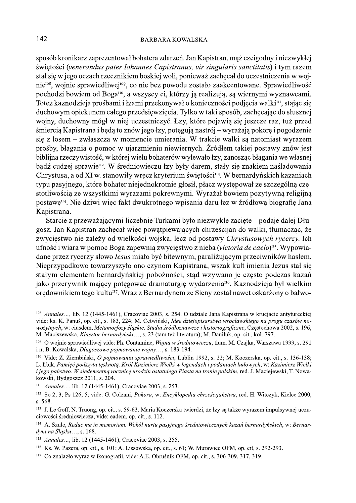## **BARBARA KOWALSKA**

sposób kronikarz zaprezentował bohatera zdarzeń. Jan Kapistran, mąż czcigodny i niezwykłej świętości (venerandus pater Iohannes Capistranus, vir singularis sanctitatis) i tym razem stał się w jego ocząch rzecznikiem boskiej woli, ponieważ zachęcał do uczestniczenia w wojnie<sup>108</sup>, wojnie sprawiedliwej<sup>109</sup>, co nie bez powodu zostało zaakcentowane. Sprawiedliwość pochodzi bowiem od Boga<sup>no</sup>, a wszyscy ci, którzy ją realizują, są wiernymi wyznawcami. Toteż kaznodzieja prośbami i łzami przekonywał o konieczności podjęcia walki<sup>m</sup>, stając się duchowym opiekunem całego przedsięwzięcia. Tylko w taki sposób, zachęcając do słusznej wojny, duchowny mógł w niej uczestniczyć. Łzy, które pojawią się jeszcze raz, tuż przed śmiercią Kapistrana i będą to znów jego łzy, potęgują nastrój – wyrażają pokorę i pogodzenie się z losem – zwłaszcza w momencie umierania. W trakcie walki sa natomiast wyrazem prośby, błagania o pomoc w ujarzmieniu niewiernych. Źródłem takiej postawy znów jest biblijna rzeczywistość, w której wielu bohaterów wylewało łzy, zanosząc błagania we własnej bądź cudzej sprawie<sup>112</sup>. W średniowieczu łzy były darem, stały się znakiem naśladowania Chrystusa, a od XI w. stanowiły wręcz kryterium świętości<sup>113</sup>. W bernardyńskich kazaniach typu pasyjnego, które bohater niejednokrotnie głosił, płacz występował ze szczególną częstotliwością ze wszystkimi wyrazami pokrewnymi. Wyrażał bowiem pozytywną religijną postawę<sup>114</sup>. Nie dziwi więc fakt dwukrotnego wpisania daru łez w źródłową biografię Jana Kapistrana.

Starcie z przeważającymi liczebnie Turkami było niezwykle zacięte – podaje dalej Długosz. Jan Kapistran zachęcał więc powatpiewających chrześcijan do walki, tłumacząc, że zwycięstwo nie zależy od wielkości wojska, lecz od postawy Chrystusowych rycerzy. Ich ufność i wiara w pomoc Boga zapewnia zwyciestwo z nieba (victoria de caelo)<sup>115</sup>. Wypowiadane przez rycerzy słowo *lesus* miało być bitewnym, paraliżującym przeciwników hasłem. Nieprzypadkowo towarzyszyło ono czynom Kapistrana, wszak kult imienia Jezus stał się stałym elementem bernardyńskiej pobożności, stąd wzywano je często podczas kazań jako przerywnik mający potęgować dramaturgię wydarzenia<sup>n6</sup>. Kaznodzieja był wielkim oredownikiem tego kultu<sup>117</sup>. Wraz z Bernardynem ze Sieny został nawet oskarżony o bałwo-

<sup>&</sup>lt;sup>108</sup> Annales..., lib. 12 (1445-1461), Cracoviae 2003, s. 254. O udziale Jana Kapistrana w krucjacie antytureckiej vide: ks. K. Panuś, op. cit., s. 183, 224; M. Cetwiński, Idee dziejopisarstwa wrocławskiego na progu czasów nowożytnych, w: eiusdem, Metamorfozy śląskie. Studia źródłoznawcze i historiograficzne, Częstochowa 2002, s. 196; M. Maciszewska, Klasztor bernardyński..., s. 23 (tam też literatura); M. Daniluk, op. cit., kol. 797.

<sup>&</sup>lt;sup>109</sup> O wojnie sprawiedliwej vide: Ph. Contamine, Wojna w średniowieczu, tłum. M. Czajka, Warszawa 1999, s. 291 i n; B. Kowalska, *Długoszowe pojmowanie wojny...*, s. 183-194.

<sup>&</sup>lt;sup>110</sup> Vide: Z. Ziembiński, O pojmowaniu sprawiedliwości, Lublin 1992, s. 22; M. Koczerska, op. cit., s. 136-138; L. Łbik, Pamięć podszyta tęsknotą. Król Kazimierz Wielki w legendach i podaniach ludowych, w: Kazimierz Wielki i jego państwo. W siedemsetną rocznicę urodzin ostatniego Piasta na tronie polskim, red. J. Maciejewski, T. Nowakowski, Bydgoszcz 2011, s. 204.

<sup>&</sup>lt;sup>111</sup> Annales..., lib. 12 (1445-1461), Cracoviae 2003, s. 253.

<sup>&</sup>lt;sup>112</sup> So 2, 3; Ps 126, 5; vide: G. Colzani, *Pokora*, w: *Encyklopedia chrześcijaństwa*, red. H. Witczyk, Kielce 2000, s. 568.

<sup>&</sup>lt;sup>113</sup> J. Le Goff, N. Truong, op. cit., s. 59-63. Maria Koczerska twierdzi, że łzy sa także wyrazem impulsywnej uczuciowości średniowiecza, vide: eadem, op. cit., s. 112.

<sup>&</sup>lt;sup>114</sup> A. Szulc, Reduc me in memoriam. Wokół nurtu pasyjnego średniowiecznych kazań bernardyńskich, w: Bernardyni na Śląsku..., s. 168.

<sup>&</sup>lt;sup>115</sup> Annales..., lib. 12 (1445-1461), Cracoviae 2003, s. 255.

 $^{116}$  Ks. W. Pazera, op. cit., s. 101; A. Lissowska, op. cit., s. 61; W. Murawiec OFM, op. cit, s. 292-293.

<sup>&</sup>lt;sup>117</sup> Co znalazło wyraz w ikonografii, vide: A.E. Obruśnik OFM, op. cit., s. 306-309, 317, 319.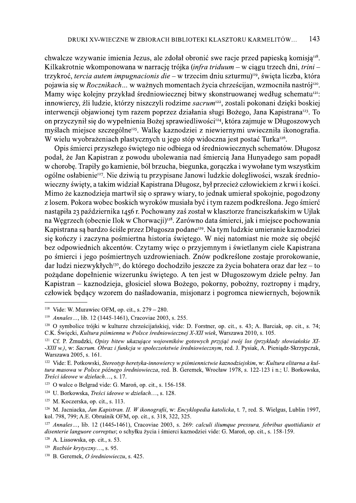chwalcze wzywanie imienia Jezus, ale zdołał obronić swe racje przed papieską komisją<sup>118</sup>. Kilkakrotnie wkomponowana w narrację trójka (infra triduum – w ciągu trzech dni, trini – trzykroć, tercia autem impugnacionis die – w trzecim dniu szturmu)<sup>119</sup>, święta liczba, która pojawia się w Rocznikach... w ważnych momentach życia chrześcijan, wzmocniła nastrój<sup>120</sup>. Mamy więc kolejny przykład średniowiecznej bitwy skonstruowanej według schematu<sup>121</sup>: innowiercy, źli ludzie, którzy niszczyli rodzime sacrum<sup>122</sup>, zostali pokonani dzięki boskiej interwencji objawionej tym razem poprzez działania sługi Bożego, Jana Kapistrana<sup>123</sup>. To on przyczynił się do wypełnienia Bożej sprawiedliwości<sup>124</sup>, która zajmuje w Długoszowych myślach miejsce szczególne<sup>125</sup>. Walkę kaznodziej z niewiernymi uwieczniła ikonografia. W wielu wyobrażeniach plastycznych u jego stóp widoczna jest postać Turka<sup>126</sup>.

Opis śmierci przyszłego świętego nie odbiega od średniowiecznych schematów. Długosz podał, że Jan Kapistran z powodu ubolewania nad śmiercią Jana Hunyadego sam popadł w chorobę. Trapiły go kamienie, ból brzucha, biegunka, gorączka i wywołane tym wszystkim ogólne osłabienie<sup>127</sup>. Nie dziwią tu przypisane Janowi ludzkie dolegliwości, wszak średniowieczny święty, a takim widział Kapistrana Długosz, był przecież człowiekiem z krwi i kości. Mimo że kaznodzieja martwił się o sprawy wiary, to jednak umierał spokojnie, pogodzony z losem. Pokora wobec boskich wyroków musiała być i tym razem podkreślona. Jego śmierć nastąpiła 23 października 1456 r. Pochowany zaś został w klasztorze franciszkańskim w Ujlak na Węgrzech (obecnie Ilok w Chorwacji)<sup>128</sup>. Zarówno data śmierci, jak i miejsce pochowania Kapistrana są bardzo ściśle przez Długosza podane<sup>129</sup>. Na tym ludzkie umieranie kaznodziei się kończy i zaczyna pośmiertna historia świętego. W niej natomiast nie może się obejść bez odpowiednich akcentów. Czytamy więc o przyjemnym i świetlanym ciele Kapistrana po śmierci i jego pośmiertnych uzdrowieniach. Znów podkreślone zostaje prorokowanie, dar ludzi niezwykłych<sup>130</sup>, do którego dochodziło jeszcze za życia bohatera oraz dar łez – to pożądane dopełnienie wizerunku świętego. A ten jest w Długoszowym dziele pełny. Jan Kapistran – kaznodzieja, głosiciel słowa Bożego, pokorny, pobożny, roztropny i mądry, człowiek będący wzorem do naśladowania, misjonarz i pogromca niewiernych, bojownik

<sup>&</sup>lt;sup>118</sup> Vide: W. Murawiec OFM, op. cit., s.  $279 - 280$ .

<sup>&</sup>lt;sup>119</sup> Annales..., lib. 12 (1445-1461), Cracoviae 2003, s. 255.

<sup>&</sup>lt;sup>120</sup> O symbolice trójki w kulturze chrześcijańskiej, vide: D. Forstner, op. cit., s. 43; A. Barciak, op. cit., s. 74; C.K. Święcki, Kultura piśmienna w Polsce średniowiecznej X-XII wiek, Warszawa 2010, s. 105.

<sup>&</sup>lt;sup>121</sup> Cf. P. Zmudzki, Opisy bitew ukazujące wojowników gotowych przyjąć swój los (przykłady słowiańskie XI--XIII w.), w: Sacrum. Obraz i funkcja w społeczeństwie średniowiecznym, red. J. Pysiak, A. Pieniądz-Skrzypczak, Warszawa 2005, s. 161.

<sup>&</sup>lt;sup>122</sup> Vide: E. Potkowski, Stereotyp heretyka-innowiercy w piśmiennictwie kaznodziejskim, w: Kultura elitarna a kultura masowa w Polsce późnego średniowiecza, red. B. Geremek, Wrocław 1978, s. 122-123 i n.; U. Borkowska, Treści ideowe w dziełach..., s. 17.

<sup>&</sup>lt;sup>123</sup> O walce o Belgrad vide: G. Maron, op. cit., s. 156-158.

<sup>&</sup>lt;sup>124</sup> U. Borkowska, *Treści ideowe w dziełach...*, s. 128.

 $125$  M. Koczerska, op. cit., s. 113.

<sup>&</sup>lt;sup>126</sup> M. Jacniacka, Jan Kapistran, II. W ikonografii, w: Encyklopedia katolicka, t. 7, red. S. Wielgus, Lublin 1997, kol. 798, 799; A.E. Obruśnik OFM, op. cit., s. 318, 322, 325.

<sup>&</sup>lt;sup>127</sup> Annales..., lib. 12 (1445-1461), Cracoviae 2003, s. 269: calculi iliumque pressura, febribus quottidianis et disenterie languore correptus; o schyłku życia i śmierci kaznodziei vide: G. Maroń, op. cit., s. 158-159.

<sup>&</sup>lt;sup>128</sup> A. Lissowska, op. cit., s. 53.

<sup>&</sup>lt;sup>129</sup> Rozbiór krytyczny..., s. 95.

<sup>&</sup>lt;sup>130</sup> B. Geremek, *O średniowieczu*, s. 425.